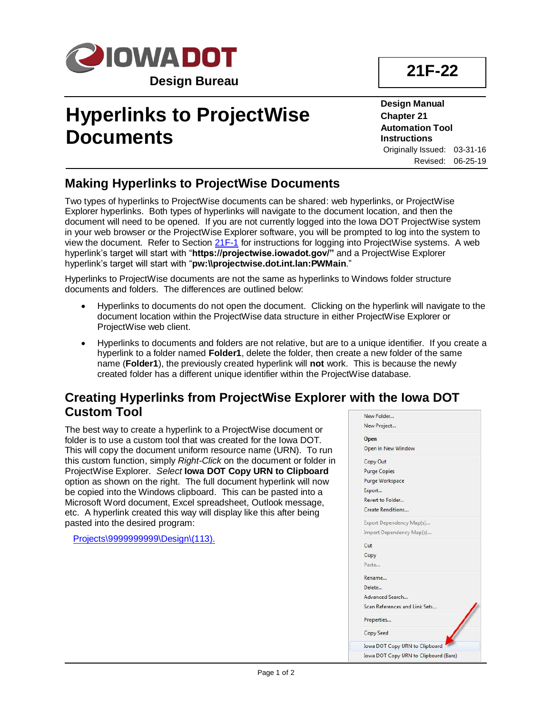

# **Hyperlinks to ProjectWise Documents**

**Design Manual Chapter 21 Automation Tool Instructions** Originally Issued: 03-31-16 Revised: 06-25-19

## **Making Hyperlinks to ProjectWise Documents**

Two types of hyperlinks to ProjectWise documents can be shared: web hyperlinks, or ProjectWise Explorer hyperlinks. Both types of hyperlinks will navigate to the document location, and then the document will need to be opened. If you are not currently logged into the Iowa DOT ProjectWise system in your web browser or the ProjectWise Explorer software, you will be prompted to log into the system to view the document. Refer to Section [21F-1](21F-01.pdf) for instructions for logging into ProjectWise systems. A web hyperlink's target will start with "**https://projectwise.iowadot.gov/"** and a ProjectWise Explorer hyperlink's target will start with "**pw:\\projectwise.dot.int.lan:PWMain**."

Hyperlinks to ProjectWise documents are not the same as hyperlinks to Windows folder structure documents and folders. The differences are outlined below:

- Hyperlinks to documents do not open the document. Clicking on the hyperlink will navigate to the document location within the ProjectWise data structure in either ProjectWise Explorer or ProjectWise web client.
- Hyperlinks to documents and folders are not relative, but are to a unique identifier. If you create a hyperlink to a folder named **Folder1**, delete the folder, then create a new folder of the same name (**Folder1**), the previously created hyperlink will **not** work. This is because the newly created folder has a different unique identifier within the ProjectWise database.

#### **Creating Hyperlinks from ProjectWise Explorer with the Iowa DOT Custom Tool**

The best way to create a hyperlink to a ProjectWise document or folder is to use a custom tool that was created for the Iowa DOT. This will copy the document uniform resource name (URN). To run this custom function, simply *Right-Click* on the document or folder in ProjectWise Explorer. *Select* **Iowa DOT Copy URN to Clipboard** option as shown on the right. The full document hyperlink will now be copied into the Windows clipboard. This can be pasted into a Microsoft Word document, Excel spreadsheet, Outlook message, etc. A hyperlink created this way will display like this after being pasted into the desired program:

Projects\9999999999\Design\(113).

|      | New Folder                            |
|------|---------------------------------------|
|      | New Project                           |
|      | Open                                  |
|      | Open in New Window                    |
|      | Copy Out                              |
|      | <b>Purge Copies</b>                   |
|      | Purge Workspace                       |
|      | Export                                |
|      | Revert to Folder                      |
|      | Create Renditions                     |
|      | Export Dependency Map(s)              |
|      | Import Dependency Map(s)              |
| Cut  |                                       |
| Copy |                                       |
|      | Paste                                 |
|      | Rename                                |
|      | Delete                                |
|      | Advanced Search                       |
|      | Scan References and Link Sets         |
|      | Properties                            |
|      | Copy Seed                             |
|      | Iowa DOT Copy URN to Clipboard        |
|      | Jowa DOT Copy URN to Clipboard (Bare) |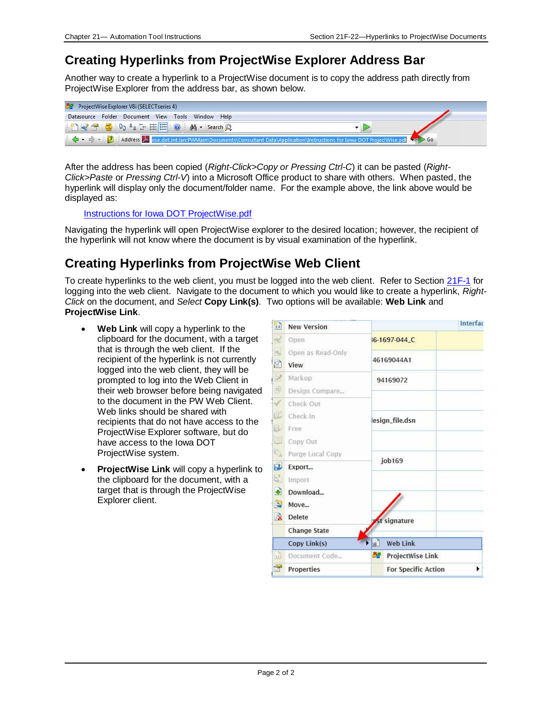#### **Creating Hyperlinks from ProjectWise Explorer Address Bar**

Another way to create a hyperlink to a ProjectWise document is to copy the address path directly from ProjectWise Explorer from the address bar, as shown below.

| ProjectWise Explorer V8i (SELECT series 4)        |  |
|---------------------------------------------------|--|
| Datasource Folder Document View Tools Window Help |  |
| BY SE DO 's : HE O   M - Search Q                 |  |
|                                                   |  |

After the address has been copied (*Right-Click>Copy or Pressing Ctrl-C*) it can be pasted (*Right-Click>Paste* or *Pressing Ctrl-V*) into a Microsoft Office product to share with others. When pasted, the hyperlink will display only the document/folder name. For the example above, the link above would be displayed as:

Instructions for Iowa DOT ProjectWise.pdf

Navigating the hyperlink will open ProjectWise explorer to the desired location; however, the recipient of the hyperlink will not know where the document is by visual examination of the hyperlink.

## **Creating Hyperlinks from ProjectWise Web Client**

To create hyperlinks to the web client, you must be logged into the web client. Refer to Section [21F-1](21F-01.pdf) for logging into the web client. Navigate to the document to which you would like to create a hyperlink, *Right-Click* on the document, and *Select* **Copy Link(s)**. Two options will be available: **Web Link** and **ProjectWise Link**.

- **Web Link** will copy a hyperlink to the clipboard for the document, with a target that is through the web client. If the recipient of the hyperlink is not currently logged into the web client, they will be prompted to log into the Web Client in their web browser before being navigated to the document in the PW Web Client. Web links should be shared with recipients that do not have access to the ProjectWise Explorer software, but do have access to the Iowa DOT ProjectWise system.
- **ProjectWise Link** will copy a hyperlink to the clipboard for the document, with a target that is through the ProjectWise Explorer client.

| $\overline{1.0}$ | <b>New Version</b>  |                            | Interfac         |  |
|------------------|---------------------|----------------------------|------------------|--|
| $\mathcal{A}$    | Open                | I6-1697-044_C              |                  |  |
| A                | Open as Read-Only   |                            |                  |  |
| P                | View                | 46169044A1                 |                  |  |
| $\mathbb{Z}$     | Markup              | 94169072                   |                  |  |
| $\blacksquare$   | Design Compare      |                            |                  |  |
| $\checkmark$     | Check Out           |                            |                  |  |
| D                | Check In            | esign_file.dsn             |                  |  |
| D.               | Free                |                            |                  |  |
| $\boxtimes$      | Copy Out            |                            |                  |  |
| 嘎                | Purge Local Copy    | job169                     |                  |  |
| $\overline{a}$   | Export              |                            |                  |  |
| 5                | Import              |                            |                  |  |
| $\bullet$        | Download            |                            |                  |  |
| $\mathbf{z}$     | Move                |                            |                  |  |
| $\rightarrow$    | Delete              | <b>St signature</b>        |                  |  |
|                  | <b>Change State</b> |                            |                  |  |
|                  | Copy Link(s)        | D<br><b>Web Link</b>       |                  |  |
| 123              | Document Code       | 57                         | ProjectWise Link |  |
| F                | <b>Properties</b>   | <b>For Specific Action</b> | ١                |  |